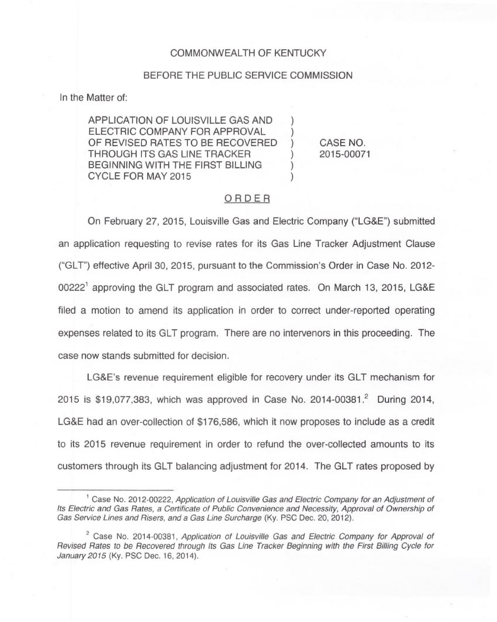### COMMONWEALTH OF KENTUCKY

### BEFORE THE PUBLIC SERVICE COMMISSION

In the Matter of:

APPLICATION OF LOUISVILLE GAS AND ) ELECTRIC COMPANY FOR APPROVAL OF REVISED RATES TO BE RECOVERED THROUGH ITS GAS LINE TRACKER ) BEGINNING WITH THE FIRST BILLING CYCLE FOR MAY 2015 )

CASE NO. 2015-00071

## ORDER

On February 27, 2015, Louisville Gas and Electric Company ("LG&E") submitted an application requesting to revise rates for its Gas Line Tracker Adjustment Clause ("GLT") effective April 30, 2015, pursuant to the Commission's Order in Case No. 2012-  $00222<sup>1</sup>$  approving the GLT program and associated rates. On March 13, 2015, LG&E filed a motion to amend its application in order to correct under-reported operating expenses related to its GLT program. There are no intervenors in this proceeding. The case now stands submitted for decision.

LG8E's revenue requirement eligible for recovery under its GLT mechanism for 2015 is \$19,077,383, which was approved in Case No. 2014-00381.<sup>2</sup> During 2014, LG&E had an over-collection of \$176,586, which it now proposes to include as a credit to its 2015 revenue requirement in order to refund the over-collected amounts to its customers through its GLT balancing adjustment for 2014. The GLT rates proposed by

<sup>&</sup>lt;sup>1</sup> Case No. 2012-00222, Application of Louisville Gas and Electric Company for an Adjustment of Its Electric and Gas Rates, a Certificate of Public Convenience and Necessity, Approval of Ownership of Gas Service Lines and Risers, and a Gas Line Surcharge (Ky. PSC Dec. 20, 2012).

<sup>&</sup>lt;sup>2</sup> Case No. 2014-00381, Application of Louisville Gas and Electric Company for Approval of Revised Rates to be Recovered through Its Gas Line Tracker Beginning with the First Billing Cycle for January 2015 (Ky. PSC Dec. 16, 2014).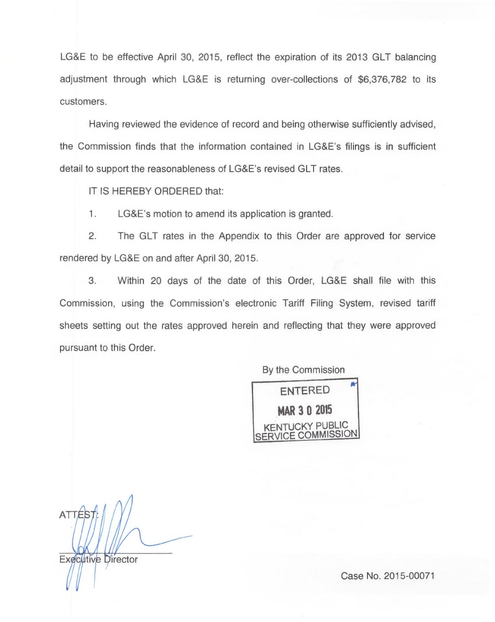LG&E to be effective April 30, 2015, reflect the expiration of its 2013 GLT balancing adjustment through which LG&E is returning over-collections of \$6,376,782 to its customers.

Having reviewed the evidence of record and being otherwise sufficiently advised the Commission finds that the information contained in LG8E's filings is in sufficient detail to support the reasonableness of LG&E's revised GLT rates.

IT IS HEREBY ORDERED that:

1. LG&E's motion to amend its application is granted.

2. The GLT rates in the Appendix to this Order are approved for service rendered by LG&E on and after April 30, 2015.

3. Within 20 days of the date of this Order, LG&E shall file with this Commission, using the Commission's electronic Tariff Filing System, revised tariff sheets setting out the rates approved herein and reflecting that they were approved pursuant to this Order.

By the Commission



**ATTÉS** 

Executive Director

Case No. 2015-00071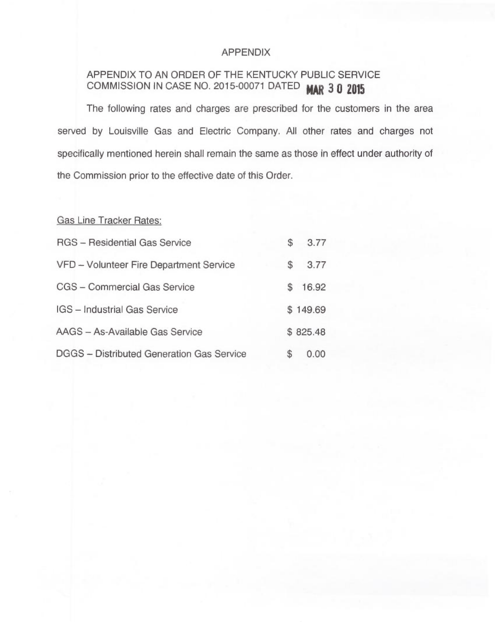## APPENDIX

# APPENDIX TO AN ORDER OF THE KENTUCKY PUBLIC SERVICE COMMISSION IN CASE NO. 2015-00071 DATED MAR 3 0 2015

The following rates and charges are prescribed for the customers in the area served by Louisville Gas and Electric Company. All other rates and charges not specifically mentioned herein shall remain the same as those in effect under authority of the Commission prior to the effective date of this Order.

Gas Line Tracker Rates:

| <b>RGS</b> - Residential Gas Service      | S              | 3.77     |
|-------------------------------------------|----------------|----------|
| VFD - Volunteer Fire Department Service   | $\mathfrak{s}$ | 3.77     |
| CGS - Commercial Gas Service              | £.             | 16.92    |
| IGS - Industrial Gas Service              |                | \$149.69 |
| AAGS - As-Available Gas Service           |                | \$825.48 |
| DGGS - Distributed Generation Gas Service | S              | 0.00     |